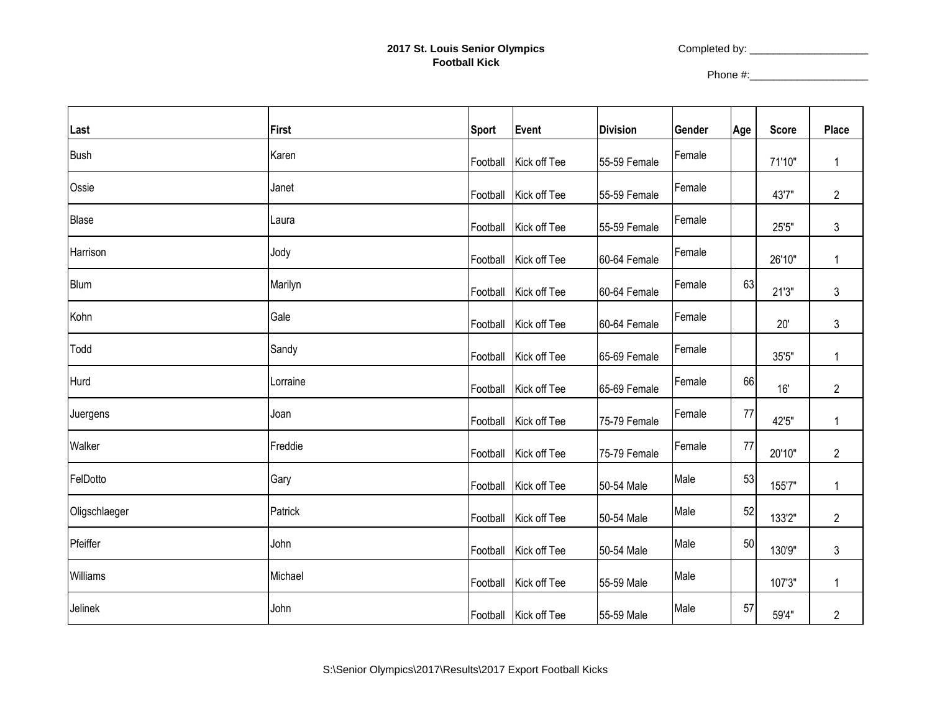## **2017 St. Louis Senior Olympics Football Kick**

Completed by: \_\_\_\_\_\_\_\_\_\_\_\_\_\_\_\_\_\_\_\_

Phone #:\_\_\_\_\_\_\_\_\_\_\_\_\_\_\_\_\_\_\_\_

| Last           | <b>First</b> | <b>Sport</b> | Event                 | <b>Division</b> | Gender | Age | <b>Score</b> | <b>Place</b>   |
|----------------|--------------|--------------|-----------------------|-----------------|--------|-----|--------------|----------------|
| <b>Bush</b>    | Karen        | Football     | Kick off Tee          | 55-59 Female    | Female |     | 71'10"       | $\mathbf{1}$   |
| Ossie          | Janet        | Football     | Kick off Tee          | 55-59 Female    | Female |     | 43'7"        | $\overline{2}$ |
| Blase          | Laura        | Football     | Kick off Tee          | 55-59 Female    | Female |     | 25'5"        | 3              |
| Harrison       | Jody         | Football     | Kick off Tee          | 60-64 Female    | Female |     | 26'10"       | $\mathbf{1}$   |
| <b>Blum</b>    | Marilyn      | Football     | Kick off Tee          | 60-64 Female    | Female | 63  | 21'3''       | 3              |
| Kohn           | Gale         | Football     | Kick off Tee          | 60-64 Female    | Female |     | 20'          | 3              |
| Todd           | Sandy        | Football     | Kick off Tee          | 65-69 Female    | Female |     | 35'5"        | 1              |
| Hurd           | Lorraine     | Football     | Kick off Tee          | 65-69 Female    | Female | 66  | 16'          | $\overline{2}$ |
| Juergens       | Joan         | Football     | Kick off Tee          | 75-79 Female    | Female | 77  | 42'5"        | 1              |
| Walker         | Freddie      | Football     | Kick off Tee          | 75-79 Female    | Female | 77  | 20'10"       | $\overline{c}$ |
| FelDotto       | Gary         | Football     | Kick off Tee          | 50-54 Male      | Male   | 53  | 155'7"       | $\mathbf{1}$   |
| Oligschlaeger  | Patrick      | Football     | Kick off Tee          | 50-54 Male      | Male   | 52  | 133'2"       | $\overline{2}$ |
| Pfeiffer       | John         | Football     | Kick off Tee          | 50-54 Male      | Male   | 50  | 130'9"       | $\mathfrak{Z}$ |
| Williams       | Michael      | Football     | Kick off Tee          | 55-59 Male      | Male   |     | 107'3"       | $\mathbf{1}$   |
| <b>Jelinek</b> | John         |              | Football Kick off Tee | 55-59 Male      | Male   | 57  | 59'4"        | $\overline{2}$ |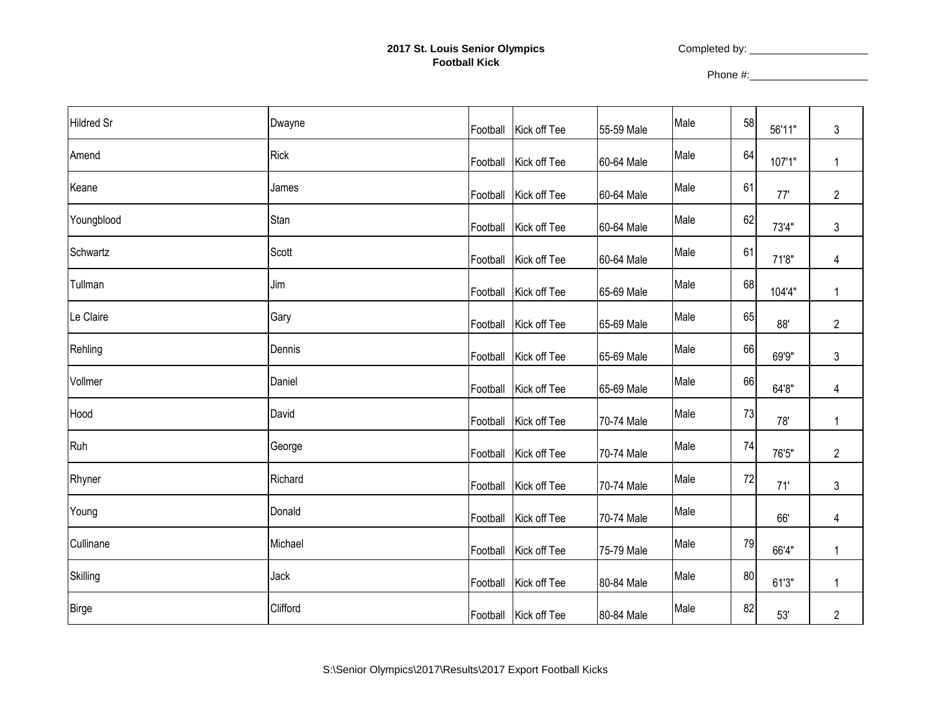## **2017 St. Louis Senior Olympics Football Kick**

Completed by: \_\_\_\_\_\_\_\_\_\_\_\_\_\_\_\_\_\_\_\_

Phone #:\_\_\_\_\_\_\_\_\_\_\_\_\_\_\_\_\_\_\_\_

| <b>Hildred Sr</b> | Dwayne      | Football Kick off Tee | 55-59 Male | Male | 58 | 56'11" | 3              |
|-------------------|-------------|-----------------------|------------|------|----|--------|----------------|
| Amend             | <b>Rick</b> | Football Kick off Tee | 60-64 Male | Male | 64 | 107'1" | 1              |
| Keane             | James       | Football Kick off Tee | 60-64 Male | Male | 61 | 77'    | $\overline{2}$ |
| Youngblood        | Stan        | Football Kick off Tee | 60-64 Male | Male | 62 | 73'4"  | 3              |
| Schwartz          | Scott       | Football Kick off Tee | 60-64 Male | Male | 61 | 71'8"  | 4              |
| Tullman           | Jim         | Football Kick off Tee | 65-69 Male | Male | 68 | 104'4" | 1              |
| Le Claire         | Gary        | Football Kick off Tee | 65-69 Male | Male | 65 | 88'    | $\overline{c}$ |
| Rehling           | Dennis      | Football Kick off Tee | 65-69 Male | Male | 66 | 69'9"  | 3              |
| Vollmer           | Daniel      | Football Kick off Tee | 65-69 Male | Male | 66 | 64'8"  | 4              |
| Hood              | David       | Football Kick off Tee | 70-74 Male | Male | 73 | 78'    | 1              |
| Ruh               | George      | Football Kick off Tee | 70-74 Male | Male | 74 | 76'5"  | $\overline{2}$ |
| Rhyner            | Richard     | Football Kick off Tee | 70-74 Male | Male | 72 | 71'    | 3              |
| Young             | Donald      | Football Kick off Tee | 70-74 Male | Male |    | 66'    | 4              |
| Cullinane         | Michael     | Football Kick off Tee | 75-79 Male | Male | 79 | 66'4"  | 1              |
| Skilling          | Jack        | Football Kick off Tee | 80-84 Male | Male | 80 | 61'3"  | 1              |
| <b>Birge</b>      | Clifford    | Football Kick off Tee | 80-84 Male | Male | 82 | 53'    | $\overline{2}$ |